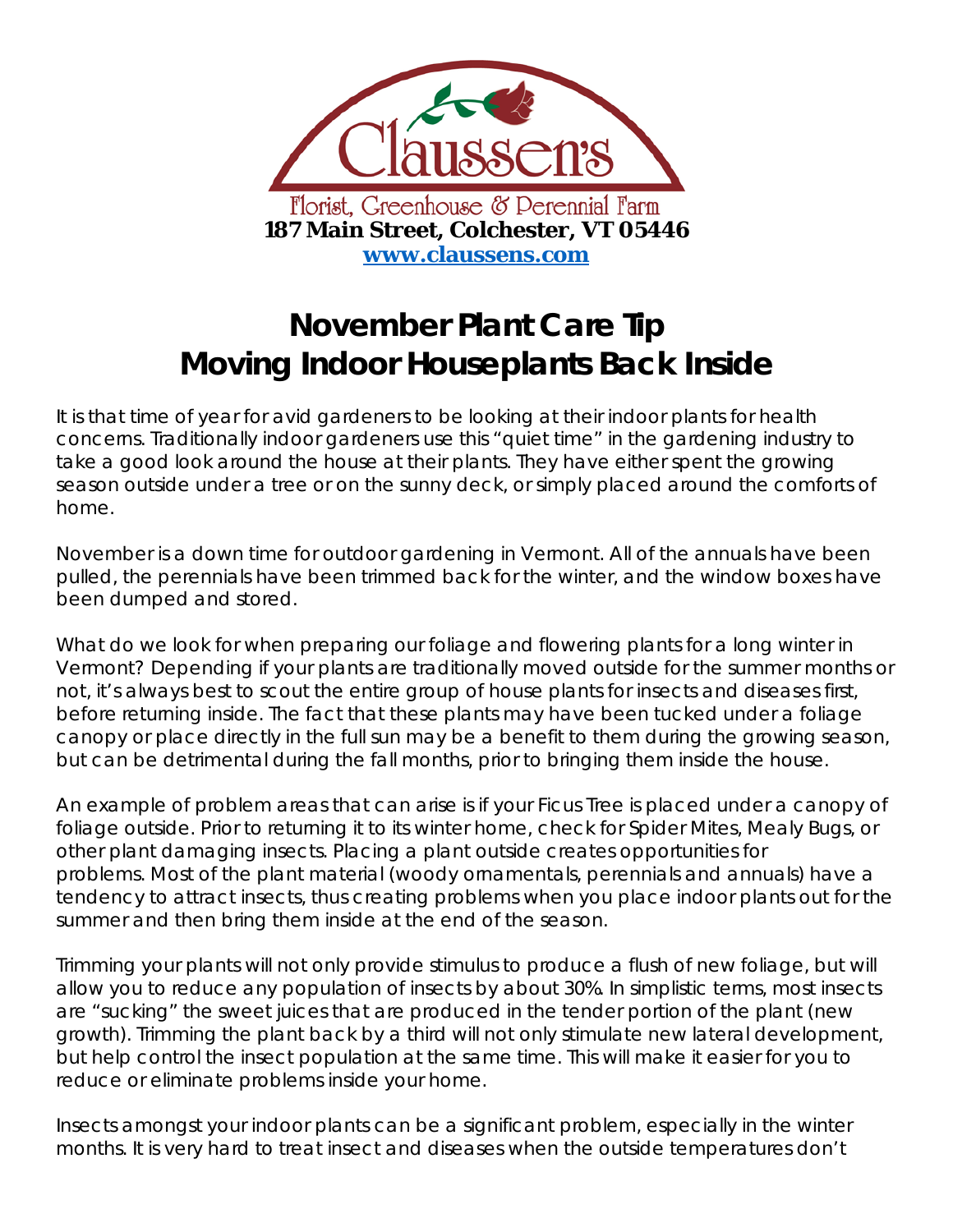

## **November Plant Care Tip Moving Indoor Houseplants Back Inside**

It is that time of year for avid gardeners to be looking at their indoor plants for health concerns. Traditionally indoor gardeners use this "quiet time" in the gardening industry to take a good look around the house at their plants. They have either spent the growing season outside under a tree or on the sunny deck, or simply placed around the comforts of home.

November is a down time for outdoor gardening in Vermont. All of the annuals have been pulled, the perennials have been trimmed back for the winter, and the window boxes have been dumped and stored.

What do we look for when preparing our foliage and flowering plants for a long winter in Vermont? Depending if your plants are traditionally moved outside for the summer months or not, it's always best to scout the entire group of house plants for insects and diseases first, before returning inside. The fact that these plants may have been tucked under a foliage canopy or place directly in the full sun may be a benefit to them during the growing season, but can be detrimental during the fall months, prior to bringing them inside the house.

An example of problem areas that can arise is if your Ficus Tree is placed under a canopy of foliage outside. Prior to returning it to its winter home, check for Spider Mites, Mealy Bugs, or other plant damaging insects. Placing a plant outside creates opportunities for problems. Most of the plant material (woody ornamentals, perennials and annuals) have a tendency to attract insects, thus creating problems when you place indoor plants out for the summer and then bring them inside at the end of the season.

Trimming your plants will not only provide stimulus to produce a flush of new foliage, but will allow you to reduce any population of insects by about 30%. In simplistic terms, most insects are "sucking" the sweet juices that are produced in the tender portion of the plant (new growth). Trimming the plant back by a third will not only stimulate new lateral development, but help control the insect population at the same time. This will make it easier for you to reduce or eliminate problems inside your home.

Insects amongst your indoor plants can be a significant problem, especially in the winter months. It is very hard to treat insect and diseases when the outside temperatures don't